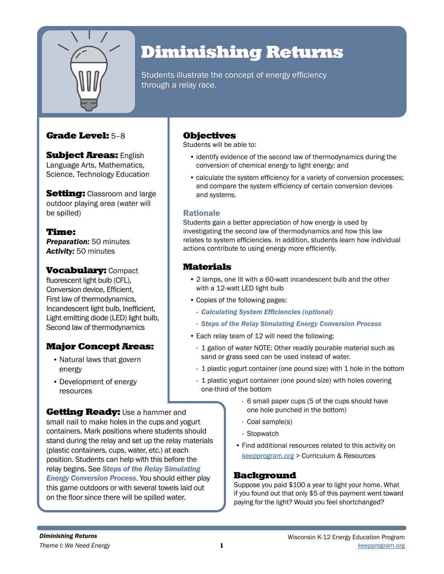

# Diminishing Returns

Students illustrate the concept of energy efficiency through a relay race.

## Grade Level: 5–8

**Subject Areas: English** Language Arts, Mathematics, Science, Technology Education

**Setting:** Classroom and large outdoor playing area (water will be spilled)

Time: *Preparation:* 50 minutes *Activity:* 50 minutes

**Vocabulary: Compact** fluorescent light bulb (CFL), Conversion device, Efficient, First law of thermodynamics, Incandescent light bulb, Inefficient, Light emitting diode (LED) light bulb, Second law of thermodynamics

# Major Concept Areas:

- Natural laws that govern energy
- Development of energy resources

**Getting Ready:** Use a hammer and small nail to make holes in the cups and yogurt containers. Mark positions where students should stand during the relay and set up the relay materials (plastic containers, cups, water, etc.) at each position. Students can help with this before the relay begins. See *Steps of the Relay Simulating Energy Conversion Process*. You should either play this game outdoors or with several towels laid out on the floor since there will be spilled water.

## Objectives

Students will be able to:

- identify evidence of the second law of thermodynamics during the conversion of chemical energy to light energy; and
- calculate the system efficiency for a variety of conversion processes; and compare the system efficiency of certain conversion devices and systems.

### Rationale

Students gain a better appreciation of how energy is used by investigating the second law of thermodynamics and how this law relates to system efficiencies. In addition, students learn how individual actions contribute to using energy more efficiently.

## Materials

- 2 lamps, one lit with a 60-watt incandescent bulb and the other with a 12-watt LED light bulb
- Copies of the following pages:
	- *Calculating System Efficiencies (optional)*
	- *Steps of the Relay Simulating Energy Conversion Process*
- Each relay team of 12 will need the following:
	- 1 gallon of water NOTE: Other readily pourable material such as sand or grass seed can be used instead of water.
	- 1 plastic yogurt container (one pound size) with 1 hole in the bottom
	- 1 plastic yogurt container (one pound size) with holes covering one-third of the bottom
		- 6 small paper cups (5 of the cups should have one hole punched in the bottom)
		- Coal sample(s)
		- Stopwatch
		- Find additional resources related to this activity on keepprogram.org > Curriculum & Resources

## **Background**

Suppose you paid \$100 a year to light your home. What if you found out that only \$5 of this payment went toward paying for the light? Would you feel shortchanged?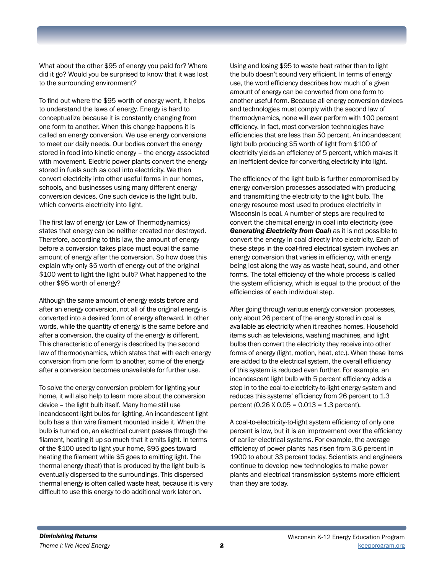What about the other \$95 of energy you paid for? Where did it go? Would you be surprised to know that it was lost to the surrounding environment?

To find out where the \$95 worth of energy went, it helps to understand the laws of energy. Energy is hard to conceptualize because it is constantly changing from one form to another. When this change happens it is called an energy conversion. We use energy conversions to meet our daily needs. Our bodies convert the energy stored in food into kinetic energy – the energy associated with movement. Electric power plants convert the energy stored in fuels such as coal into electricity. We then convert electricity into other useful forms in our homes, schools, and businesses using many different energy conversion devices. One such device is the light bulb, which converts electricity into light.

The first law of energy (or Law of Thermodynamics) states that energy can be neither created nor destroyed. Therefore, according to this law, the amount of energy before a conversion takes place must equal the same amount of energy after the conversion. So how does this explain why only \$5 worth of energy out of the original \$100 went to light the light bulb? What happened to the other \$95 worth of energy?

Although the same amount of energy exists before and after an energy conversion, not all of the original energy is converted into a desired form of energy afterward. In other words, while the quantity of energy is the same before and after a conversion, the quality of the energy is different. This characteristic of energy is described by the second law of thermodynamics, which states that with each energy conversion from one form to another, some of the energy after a conversion becomes unavailable for further use.

To solve the energy conversion problem for lighting your home, it will also help to learn more about the conversion device – the light bulb itself. Many home still use incandescent light bulbs for lighting. An incandescent light bulb has a thin wire filament mounted inside it. When the bulb is turned on, an electrical current passes through the filament, heating it up so much that it emits light. In terms of the \$100 used to light your home, \$95 goes toward heating the filament while \$5 goes to emitting light. The thermal energy (heat) that is produced by the light bulb is eventually dispersed to the surroundings. This dispersed thermal energy is often called waste heat, because it is very difficult to use this energy to do additional work later on.

Using and losing \$95 to waste heat rather than to light the bulb doesn't sound very efficient. In terms of energy use, the word efficiency describes how much of a given amount of energy can be converted from one form to another useful form. Because all energy conversion devices and technologies must comply with the second law of thermodynamics, none will ever perform with 100 percent efficiency. In fact, most conversion technologies have efficiencies that are less than 50 percent. An incandescent light bulb producing \$5 worth of light from \$100 of electricity yields an efficiency of 5 percent, which makes it an inefficient device for converting electricity into light.

The efficiency of the light bulb is further compromised by energy conversion processes associated with producing and transmitting the electricity to the light bulb. The energy resource most used to produce electricity in Wisconsin is coal. A number of steps are required to convert the chemical energy in coal into electricity (see *Generating Electricity from Coal*) as it is not possible to convert the energy in coal directly into electricity. Each of these steps in the coal-fired electrical system involves an energy conversion that varies in efficiency, with energy being lost along the way as waste heat, sound, and other forms. The total efficiency of the whole process is called the system efficiency, which is equal to the product of the efficiencies of each individual step.

After going through various energy conversion processes, only about 26 percent of the energy stored in coal is available as electricity when it reaches homes. Household items such as televisions, washing machines, and light bulbs then convert the electricity they receive into other forms of energy (light, motion, heat, etc.). When these items are added to the electrical system, the overall efficiency of this system is reduced even further. For example, an incandescent light bulb with 5 percent efficiency adds a step in to the coal-to-electricity-to-light energy system and reduces this systems' efficiency from 26 percent to 1.3 percent (0.26  $X$  0.05 = 0.013 = 1.3 percent).

A coal-to-electricity-to-light system efficiency of only one percent is low, but it is an improvement over the efficiency of earlier electrical systems. For example, the average efficiency of power plants has risen from 3.6 percent in 1900 to about 33 percent today. Scientists and engineers continue to develop new technologies to make power plants and electrical transmission systems more efficient than they are today.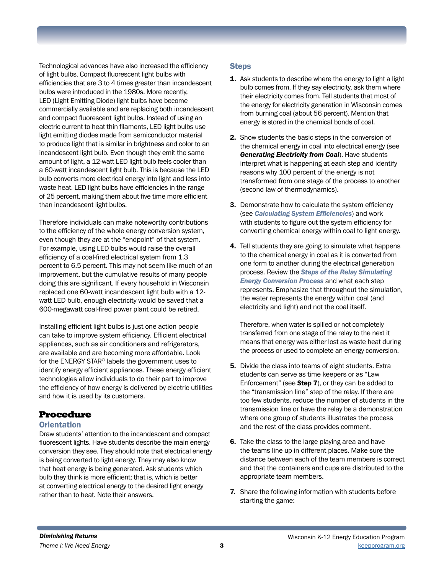Technological advances have also increased the efficiency of light bulbs. Compact fluorescent light bulbs with efficiencies that are 3 to 4 times greater than incandescent bulbs were introduced in the 1980s. More recently, LED (Light Emitting Diode) light bulbs have become commercially available and are replacing both incandescent and compact fluorescent light bulbs. Instead of using an electric current to heat thin filaments, LED light bulbs use light emitting diodes made from semiconductor material to produce light that is similar in brightness and color to an incandescent light bulb. Even though they emit the same amount of light, a 12-watt LED light bulb feels cooler than a 60-watt incandescent light bulb. This is because the LED bulb converts more electrical energy into light and less into waste heat. LED light bulbs have efficiencies in the range of 25 percent, making them about five time more efficient than incandescent light bulbs.

Therefore individuals can make noteworthy contributions to the efficiency of the whole energy conversion system, even though they are at the "endpoint" of that system. For example, using LED bulbs would raise the overall efficiency of a coal-fired electrical system from 1.3 percent to 6.5 percent. This may not seem like much of an improvement, but the cumulative results of many people doing this are significant. If every household in Wisconsin replaced one 60-watt incandescent light bulb with a 12 watt LED bulb, enough electricity would be saved that a 600-megawatt coal-fired power plant could be retired.

Installing efficient light bulbs is just one action people can take to improve system efficiency. Efficient electrical appliances, such as air conditioners and refrigerators, are available and are becoming more affordable. Look for the ENERGY STAR® labels the government uses to identify energy efficient appliances. These energy efficient technologies allow individuals to do their part to improve the efficiency of how energy is delivered by electric utilities and how it is used by its customers.

## Procedure

### **Orientation**

Draw students' attention to the incandescent and compact fluorescent lights. Have students describe the main energy conversion they see. They should note that electrical energy is being converted to light energy. They may also know that heat energy is being generated. Ask students which bulb they think is more efficient; that is, which is better at converting electrical energy to the desired light energy rather than to heat. Note their answers.

### **Steps**

- **1.** Ask students to describe where the energy to light a light bulb comes from. If they say electricity, ask them where their electricity comes from. Tell students that most of the energy for electricity generation in Wisconsin comes from burning coal (about 56 percent). Mention that energy is stored in the chemical bonds of coal.
- 2. Show students the basic steps in the conversion of the chemical energy in coal into electrical energy (see *Generating Electricity from Coal*). Have students interpret what is happening at each step and identify reasons why 100 percent of the energy is not transformed from one stage of the process to another (second law of thermodynamics).
- 3. Demonstrate how to calculate the system efficiency (see *Calculating System Efficiencies*) and work with students to figure out the system efficiency for converting chemical energy within coal to light energy.
- 4. Tell students they are going to simulate what happens to the chemical energy in coal as it is converted from one form to another during the electrical generation process. Review the *Steps of the Relay Simulating Energy Conversion Process* and what each step represents. Emphasize that throughout the simulation, the water represents the energy within coal (and electricity and light) and not the coal itself.

Therefore, when water is spilled or not completely transferred from one stage of the relay to the next it means that energy was either lost as waste heat during the process or used to complete an energy conversion.

- **5.** Divide the class into teams of eight students. Extra students can serve as time keepers or as "Law Enforcement" (see Step 7), or they can be added to the "transmission line" step of the relay. If there are too few students, reduce the number of students in the transmission line or have the relay be a demonstration where one group of students illustrates the process and the rest of the class provides comment.
- 6. Take the class to the large playing area and have the teams line up in different places. Make sure the distance between each of the team members is correct and that the containers and cups are distributed to the appropriate team members.
- **7.** Share the following information with students before starting the game: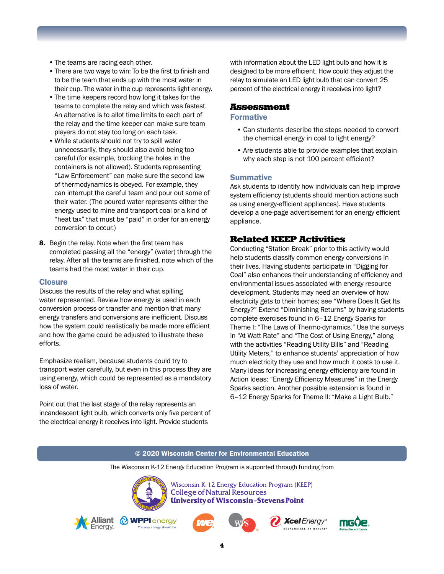- •The teams are racing each other.
- •There are two ways to win: To be the first to finish and to be the team that ends up with the most water in their cup. The water in the cup represents light energy.
- •The time keepers record how long it takes for the teams to complete the relay and which was fastest. An alternative is to allot time limits to each part of the relay and the time keeper can make sure team players do not stay too long on each task.
- •While students should not try to spill water unnecessarily, they should also avoid being too careful (for example, blocking the holes in the containers is not allowed). Students representing "Law Enforcement" can make sure the second law of thermodynamics is obeyed. For example, they can interrupt the careful team and pour out some of their water. (The poured water represents either the energy used to mine and transport coal or a kind of "heat tax" that must be "paid" in order for an energy conversion to occur.)
- 8. Begin the relay. Note when the first team has completed passing all the "energy" (water) through the relay. After all the teams are finished, note which of the teams had the most water in their cup.

#### **Closure**

Discuss the results of the relay and what spilling water represented. Review how energy is used in each conversion process or transfer and mention that many energy transfers and conversions are inefficient. Discuss how the system could realistically be made more efficient and how the game could be adjusted to illustrate these efforts.

Emphasize realism, because students could try to transport water carefully, but even in this process they are using energy, which could be represented as a mandatory loss of water.

Point out that the last stage of the relay represents an incandescent light bulb, which converts only five percent of the electrical energy it receives into light. Provide students

with information about the LED light bulb and how it is designed to be more efficient. How could they adjust the relay to simulate an LED light bulb that can convert 25 percent of the electrical energy it receives into light?

#### Assessment

#### Formative

- Can students describe the steps needed to convert the chemical energy in coal to light energy?
- Are students able to provide examples that explain why each step is not 100 percent efficient?

#### **Summative**

Ask students to identify how individuals can help improve system efficiency (students should mention actions such as using energy-efficient appliances). Have students develop a one-page advertisement for an energy efficient appliance.

#### Related KEEP Activities

Conducting "Station Break" prior to this activity would help students classify common energy conversions in their lives. Having students participate in "Digging for Coal" also enhances their understanding of efficiency and environmental issues associated with energy resource development. Students may need an overview of how electricity gets to their homes; see "Where Does It Get Its Energy?" Extend "Diminishing Returns" by having students complete exercises found in 6–12 Energy Sparks for Theme I: "The Laws of Thermo-dynamics." Use the surveys in "At Watt Rate" and "The Cost of Using Energy," along with the activities "Reading Utility Bills" and "Reading Utility Meters," to enhance students' appreciation of how much electricity they use and how much it costs to use it. Many ideas for increasing energy efficiency are found in Action Ideas: "Energy Efficiency Measures" in the Energy Sparks section. Another possible extension is found in 6–12 Energy Sparks for Theme II: "Make a Light Bulb."

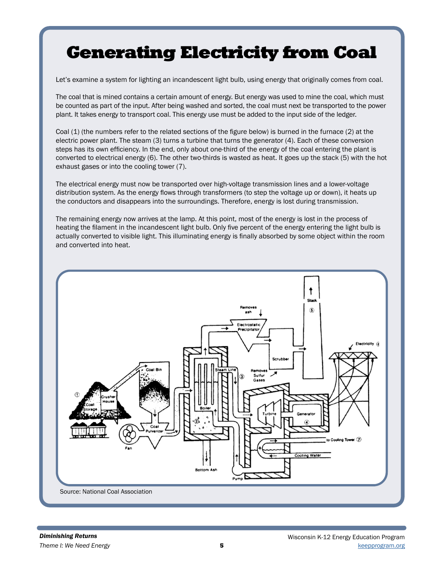# Generating Electricity from Coal

Let's examine a system for lighting an incandescent light bulb, using energy that originally comes from coal.

The coal that is mined contains a certain amount of energy. But energy was used to mine the coal, which must be counted as part of the input. After being washed and sorted, the coal must next be transported to the power plant. It takes energy to transport coal. This energy use must be added to the input side of the ledger.

Coal (1) (the numbers refer to the related sections of the figure below) is burned in the furnace (2) at the electric power plant. The steam (3) turns a turbine that turns the generator (4). Each of these conversion steps has its own efficiency. In the end, only about one-third of the energy of the coal entering the plant is converted to electrical energy (6). The other two-thirds is wasted as heat. It goes up the stack (5) with the hot exhaust gases or into the cooling tower (7).

The electrical energy must now be transported over high-voltage transmission lines and a lower-voltage distribution system. As the energy flows through transformers (to step the voltage up or down), it heats up the conductors and disappears into the surroundings. Therefore, energy is lost during transmission.

The remaining energy now arrives at the lamp. At this point, most of the energy is lost in the process of heating the filament in the incandescent light bulb. Only five percent of the energy entering the light bulb is actually converted to visible light. This illuminating energy is finally absorbed by some object within the room and converted into heat.

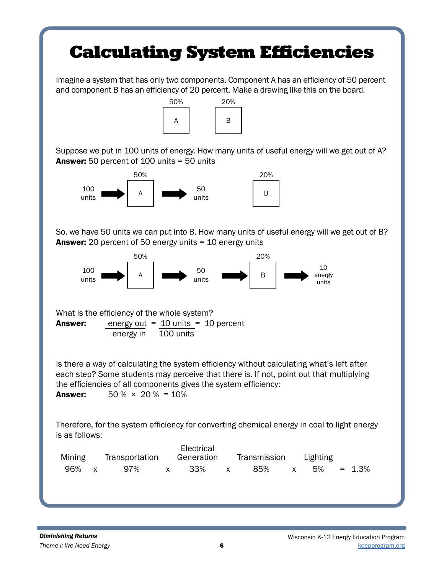# Calculating System Efficiencies

Imagine a system that has only two components. Component A has an efficiency of 50 percent and component B has an efficiency of 20 percent. Make a drawing like this on the board.



Suppose we put in 100 units of energy. How many units of useful energy will we get out of A? Answer: 50 percent of 100 units = 50 units



So, we have 50 units we can put into B. How many units of useful energy will we get out of B? Answer: 20 percent of 50 energy units = 10 energy units



What is the efficiency of the whole system? Answer: energy out = 10 units = 10 percent energy in 100 units

Is there a way of calculating the system efficiency without calculating what's left after each step? Some students may perceive that there is. If not, point out that multiplying the efficiencies of all components gives the system efficiency: **Answer:**  $50\% \times 20\% = 10\%$ 

Therefore, for the system efficiency for converting chemical energy in coal to light energy is as follows:

| Mining | Transportation |  | Electrical<br>Generation | Transmission Lighting |     |  |                   |  |
|--------|----------------|--|--------------------------|-----------------------|-----|--|-------------------|--|
| 96% x  | 97% x 33%      |  |                          | $\mathsf{X}$          | 85% |  | $x = 5\% = 1.3\%$ |  |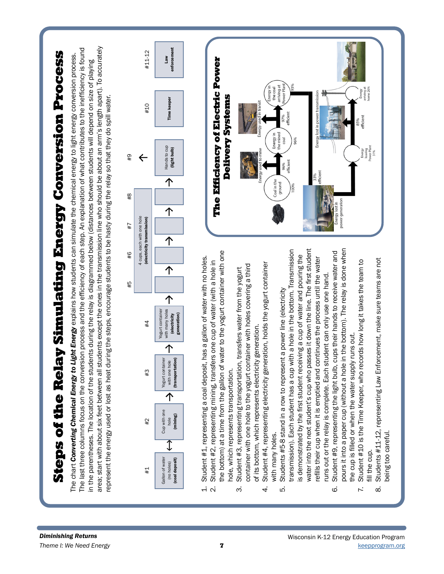

 $\mathbf{S}$  is a set that converting Chemical Energy to Ligation process and the efficiency of each sign line who should be about as length and on size of playing areas. The particle forest areas for all streamed forests in area; start with about six feet between all students except the ones in the transmission line who should be about an arm's length apart). To accurately The last three columns focus on the conversion process and the efficiency of each step. An explanation of what contributes to the inefficiency is found The chart Converting Chemical Energy to Light Energy explains how students can simulate the chemical energy to light energy conversion process. in the parentheses. The location of the students during the relay is diagrammed below (distances between students will depend on size of playing represent the energy used or lost as heat during the steps, encourage students to be hasty during the relay so that they do spill water. represent the energy used or lost as heat during the steps, encourage students to be hasty during the relay so that they do spill water.



- Student #1, representing a coal deposit, has a gallon of water with no holes. 1. Student #1, representing a coal deposit, has a gallon of water with no holes.
- the bottom) at a time from the gallon of water to the yogurt container with one the bottom) at a time from the gallon of water to the yogurt container with one 2. Student #2, representing mining, transfers one cup of water (with a hole in Student #2, representing mining, transfers one cup of water (with a hole in hole, which represents transportation. hole, which represents transportation.  $\overline{a}$   $\overline{a}$ 
	- container with one hole to the yogurt container with holes covering a third container with one hole to the yogurt container with holes covering a third 3. Student #3, representing transportation, transfers water from the yogurt Student #3, representing transportation, transfers water from the yogurt of its bottom, which represents electricity generation. of its bottom, which represents electricity generation. ന്
- 4. Student #4, representing electricity generation, holds the yogurt container Student #4, representing electricity generation, holds the yogurt container with many holes. with many holes. 4
- water into the next student's cup who passes it down the line. The first student transmission). Each student has a cup with a hole in the bottom. Transmission water into the next student's cup who passes it down the line. The first student transmission). Each student has a cup with a hole in the bottom. Transmission is demonstrated by the first student receiving a cup of water and pouring the is demonstrated by the first student receiving a cup of water and pouring the refills their cup when it is emptied and continues the process until the water refills their cup when it is emptied and continues the process until the water runs out or the relay is complete. Each student can only use one hand. runs out or the relay is complete. Each student can only use one hand. 5. Students #5-8 stand in a row to represent a power line (electricity Students #5-8 stand in a row to represent a power line (electricity ம்
- pours it into a paper cup (without a hole in the bottom). The relay is done when pours it into a paper cup (without a hole in the bottom). The relay is done when 6. Student #9, representing the light bulb, cups their hands to receive water and Student #9, representing the light bulb, cups their hands to receive water and the cup is filled or when the water supply runs out. the cup is filled or when the water supply runs out.  $\ddot{\circ}$ 
	- 7. Student #10 is the Time Keeper, who records how long it takes the team to Student #10 is the Time Keeper, who records how long it takes the team to fill the cup. fill the cup.  $\mathbf{r}$
- 8. Students #11-12, representing Law Enforcement, make sure teams are not Students #11-12, representing Law Enforcement, make sure teams are not being too careful. being too careful.  $\infty$